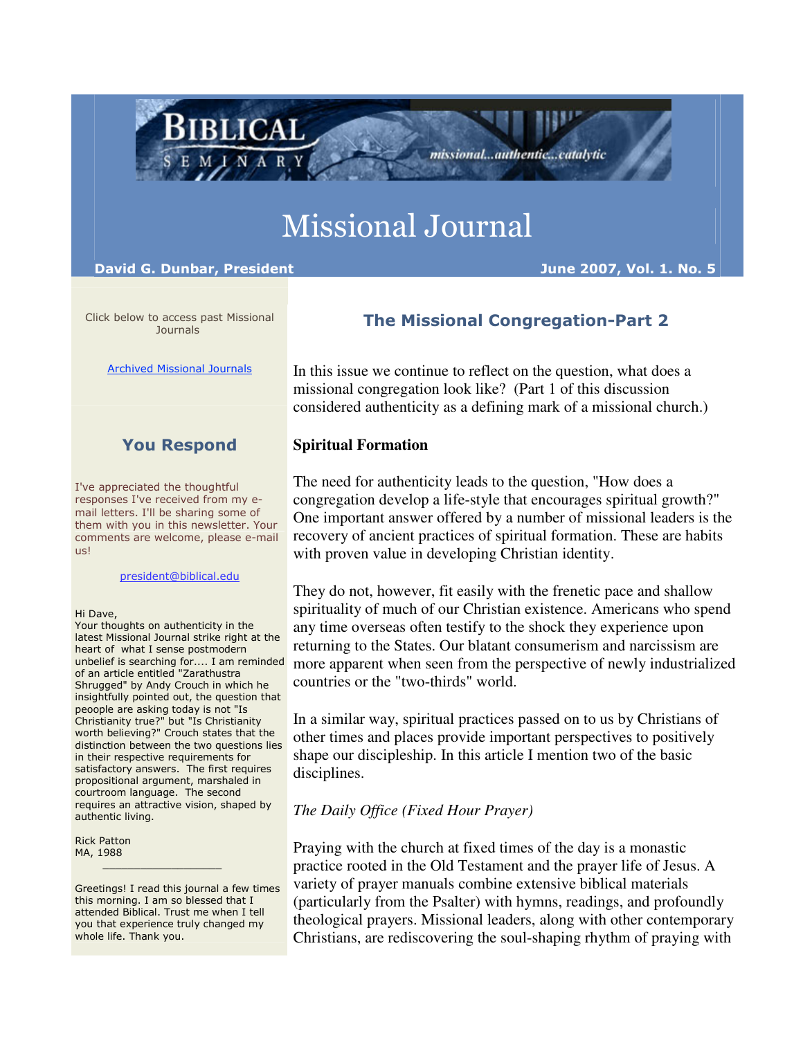# Missional Journal

David G. Dunbar, President June 2007, Vol. 1. No. 5

**BIBLICAL** 

MINAR

Click below to access past Missional **Journals** 

Archived Missional Journals

# You Respond

I've appreciated the thoughtful responses I've received from my email letters. I'll be sharing some of them with you in this newsletter. Your comments are welcome, please e-mail us!

#### president@biblical.edu

#### Hi Dave,

Your thoughts on authenticity in the latest Missional Journal strike right at the heart of what I sense postmodern unbelief is searching for.... I am reminded of an article entitled "Zarathustra Shrugged" by Andy Crouch in which he insightfully pointed out, the question that peoople are asking today is not "Is Christianity true?" but "Is Christianity worth believing?" Crouch states that the distinction between the two questions lies in their respective requirements for satisfactory answers. The first requires propositional argument, marshaled in courtroom language. The second requires an attractive vision, shaped by authentic living.

Rick Patton MA, 1988

Greetings! I read this journal a few times this morning. I am so blessed that I attended Biblical. Trust me when I tell you that experience truly changed my whole life. Thank you.

 $\frac{1}{2}$  ,  $\frac{1}{2}$  ,  $\frac{1}{2}$  ,  $\frac{1}{2}$  ,  $\frac{1}{2}$  ,  $\frac{1}{2}$  ,  $\frac{1}{2}$  ,  $\frac{1}{2}$  ,  $\frac{1}{2}$  ,  $\frac{1}{2}$  ,  $\frac{1}{2}$  ,  $\frac{1}{2}$  ,  $\frac{1}{2}$  ,  $\frac{1}{2}$  ,  $\frac{1}{2}$  ,  $\frac{1}{2}$  ,  $\frac{1}{2}$  ,  $\frac{1}{2}$  ,  $\frac{1$ 

# The Missional Congregation-Part 2

missional...authentic...catalytic

In this issue we continue to reflect on the question, what does a missional congregation look like? (Part 1 of this discussion considered authenticity as a defining mark of a missional church.)

## **Spiritual Formation**

The need for authenticity leads to the question, "How does a congregation develop a life-style that encourages spiritual growth?" One important answer offered by a number of missional leaders is the recovery of ancient practices of spiritual formation. These are habits with proven value in developing Christian identity.

They do not, however, fit easily with the frenetic pace and shallow spirituality of much of our Christian existence. Americans who spend any time overseas often testify to the shock they experience upon returning to the States. Our blatant consumerism and narcissism are more apparent when seen from the perspective of newly industrialized countries or the "two-thirds" world.

In a similar way, spiritual practices passed on to us by Christians of other times and places provide important perspectives to positively shape our discipleship. In this article I mention two of the basic disciplines.

## *The Daily Office (Fixed Hour Prayer)*

Praying with the church at fixed times of the day is a monastic practice rooted in the Old Testament and the prayer life of Jesus. A variety of prayer manuals combine extensive biblical materials (particularly from the Psalter) with hymns, readings, and profoundly theological prayers. Missional leaders, along with other contemporary Christians, are rediscovering the soul-shaping rhythm of praying with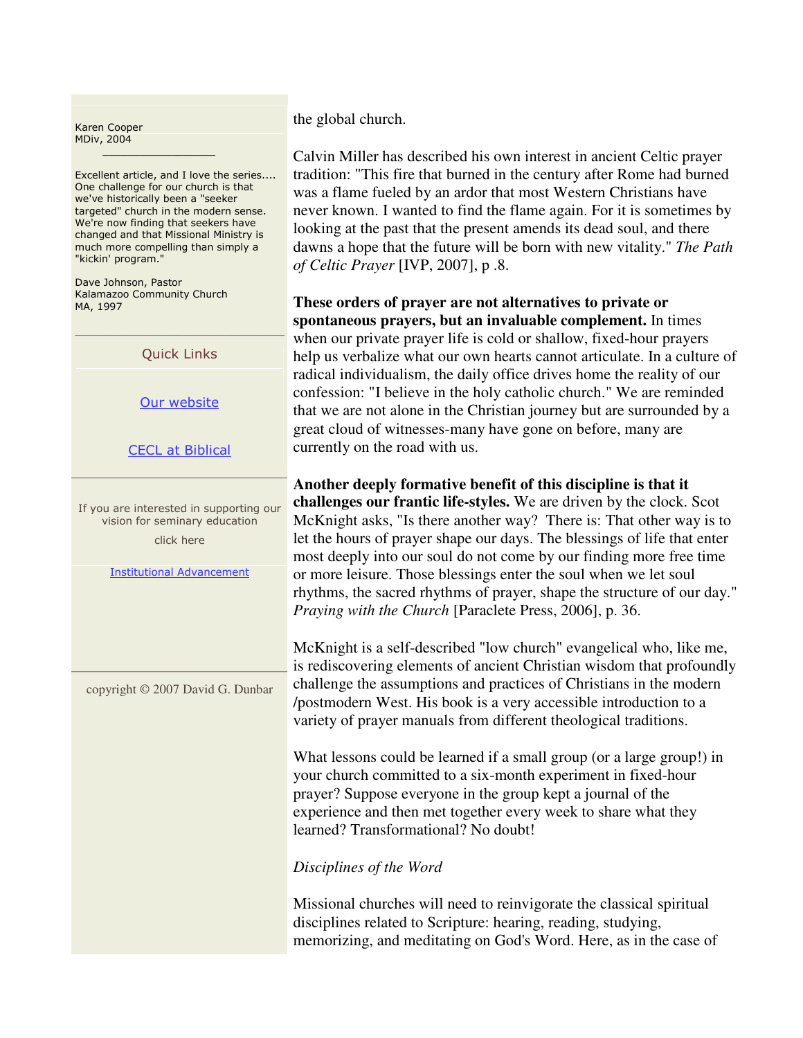Karen Cooper MDiv, 2004

Excellent article, and I love the series.... One challenge for our church is that we've historically been a "seeker targeted" church in the modern sense. We're now finding that seekers have changed and that Missional Ministry is much more compelling than simply a "kickin' program."

Dave Johnson, Pastor Kalamazoo Community Church MA, 1997

Quick Links

Our website

CECL at Biblical

If you are interested in supporting our vision for seminary education click here

Institutional Advancement

copyright © 2007 David G. Dunbar

the global church.

Calvin Miller has described his own interest in ancient Celtic prayer tradition: "This fire that burned in the century after Rome had burned was a flame fueled by an ardor that most Western Christians have never known. I wanted to find the flame again. For it is sometimes by looking at the past that the present amends its dead soul, and there dawns a hope that the future will be born with new vitality." *The Path of Celtic Prayer* [IVP, 2007], p .8.

**These orders of prayer are not alternatives to private or spontaneous prayers, but an invaluable complement.** In times when our private prayer life is cold or shallow, fixed-hour prayers help us verbalize what our own hearts cannot articulate. In a culture of radical individualism, the daily office drives home the reality of our confession: "I believe in the holy catholic church." We are reminded that we are not alone in the Christian journey but are surrounded by a great cloud of witnesses-many have gone on before, many are currently on the road with us.

**Another deeply formative benefit of this discipline is that it challenges our frantic life-styles.** We are driven by the clock. Scot McKnight asks, "Is there another way? There is: That other way is to let the hours of prayer shape our days. The blessings of life that enter most deeply into our soul do not come by our finding more free time or more leisure. Those blessings enter the soul when we let soul rhythms, the sacred rhythms of prayer, shape the structure of our day." *Praying with the Church* [Paraclete Press, 2006], p. 36.

McKnight is a self-described "low church" evangelical who, like me, is rediscovering elements of ancient Christian wisdom that profoundly challenge the assumptions and practices of Christians in the modern /postmodern West. His book is a very accessible introduction to a variety of prayer manuals from different theological traditions.

What lessons could be learned if a small group (or a large group!) in your church committed to a six-month experiment in fixed-hour prayer? Suppose everyone in the group kept a journal of the experience and then met together every week to share what they learned? Transformational? No doubt!

## *Disciplines of the Word*

Missional churches will need to reinvigorate the classical spiritual disciplines related to Scripture: hearing, reading, studying, memorizing, and meditating on God's Word. Here, as in the case of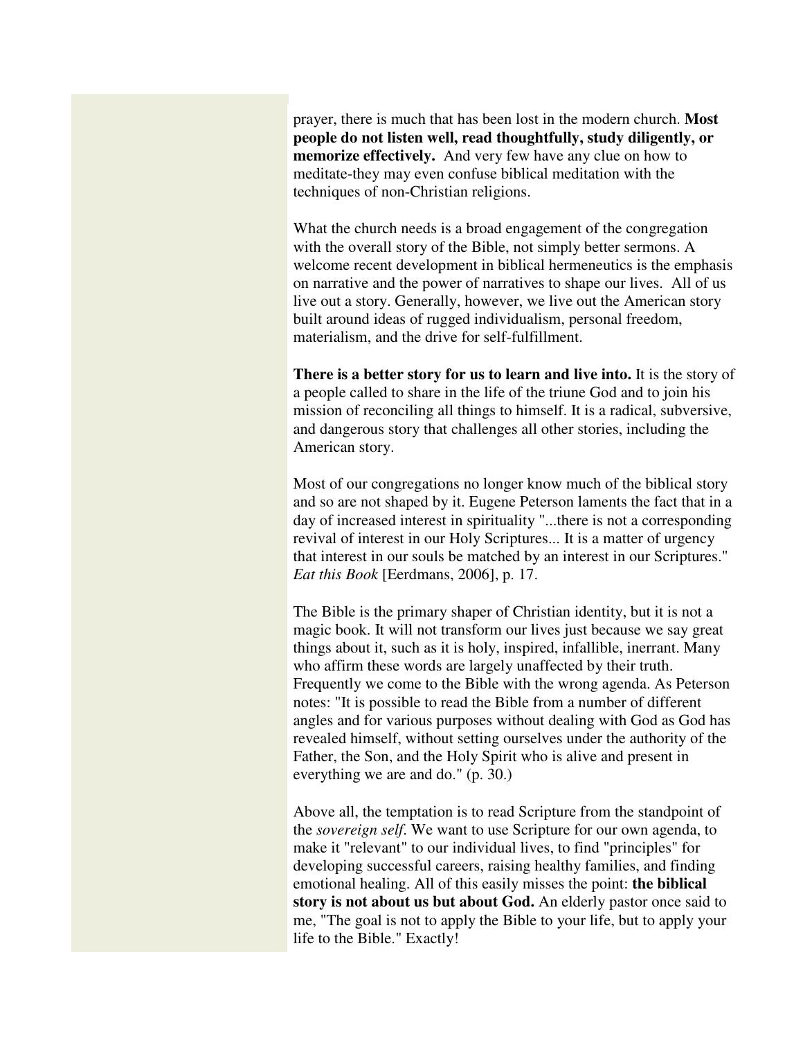prayer, there is much that has been lost in the modern church. **Most people do not listen well, read thoughtfully, study diligently, or memorize effectively.** And very few have any clue on how to meditate-they may even confuse biblical meditation with the techniques of non-Christian religions.

What the church needs is a broad engagement of the congregation with the overall story of the Bible, not simply better sermons. A welcome recent development in biblical hermeneutics is the emphasis on narrative and the power of narratives to shape our lives. All of us live out a story. Generally, however, we live out the American story built around ideas of rugged individualism, personal freedom, materialism, and the drive for self-fulfillment.

**There is a better story for us to learn and live into.** It is the story of a people called to share in the life of the triune God and to join his mission of reconciling all things to himself. It is a radical, subversive, and dangerous story that challenges all other stories, including the American story.

Most of our congregations no longer know much of the biblical story and so are not shaped by it. Eugene Peterson laments the fact that in a day of increased interest in spirituality "...there is not a corresponding revival of interest in our Holy Scriptures... It is a matter of urgency that interest in our souls be matched by an interest in our Scriptures." *Eat this Book* [Eerdmans, 2006], p. 17.

The Bible is the primary shaper of Christian identity, but it is not a magic book. It will not transform our lives just because we say great things about it, such as it is holy, inspired, infallible, inerrant. Many who affirm these words are largely unaffected by their truth. Frequently we come to the Bible with the wrong agenda. As Peterson notes: "It is possible to read the Bible from a number of different angles and for various purposes without dealing with God as God has revealed himself, without setting ourselves under the authority of the Father, the Son, and the Holy Spirit who is alive and present in everything we are and do." (p. 30.)

Above all, the temptation is to read Scripture from the standpoint of the *sovereign self*. We want to use Scripture for our own agenda, to make it "relevant" to our individual lives, to find "principles" for developing successful careers, raising healthy families, and finding emotional healing. All of this easily misses the point: **the biblical story is not about us but about God.** An elderly pastor once said to me, "The goal is not to apply the Bible to your life, but to apply your life to the Bible." Exactly!